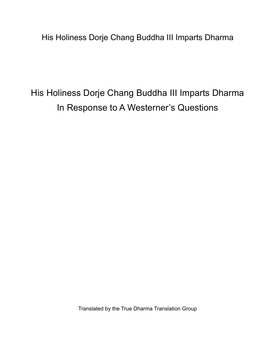His Holiness Dorje Chang Buddha III Imparts Dharma

His Holiness Dorje Chang Buddha III Imparts Dharma In Response to A Westerner's Questions

Translated by the True Dharma Translation Group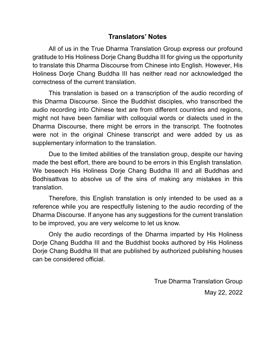## **Translators' Notes**

All of us in the True Dharma Translation Group express our profound gratitude to His Holiness Dorje Chang Buddha III for giving us the opportunity to translate this Dharma Discourse from Chinese into English. However, His Holiness Dorje Chang Buddha III has neither read nor acknowledged the correctness of the current translation.

This translation is based on a transcription of the audio recording of this Dharma Discourse. Since the Buddhist disciples, who transcribed the audio recording into Chinese text are from different countries and regions, might not have been familiar with colloquial words or dialects used in the Dharma Discourse, there might be errors in the transcript. The footnotes were not in the original Chinese transcript and were added by us as supplementary information to the translation.

Due to the limited abilities of the translation group, despite our having made the best effort, there are bound to be errors in this English translation. We beseech His Holiness Dorje Chang Buddha III and all Buddhas and Bodhisattvas to absolve us of the sins of making any mistakes in this translation.

Therefore, this English translation is only intended to be used as a reference while you are respectfully listening to the audio recording of the Dharma Discourse. If anyone has any suggestions for the current translation to be improved, you are very welcome to let us know.

Only the audio recordings of the Dharma imparted by His Holiness Dorje Chang Buddha III and the Buddhist books authored by His Holiness Dorje Chang Buddha III that are published by authorized publishing houses can be considered official.

> True Dharma Translation Group May 22, 2022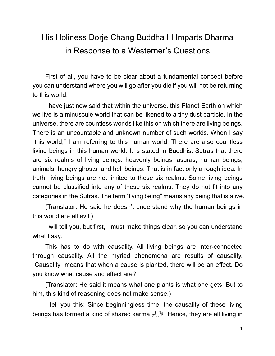## His Holiness Dorje Chang Buddha III Imparts Dharma in Response to a Westerner's Questions

First of all, you have to be clear about a fundamental concept before you can understand where you will go after you die if you will not be returning to this world.

I have just now said that within the universe, this Planet Earth on which we live is a minuscule world that can be likened to a tiny dust particle. In the universe, there are countless worlds like this on which there are living beings. There is an uncountable and unknown number of such worlds. When I say "this world," I am referring to this human world. There are also countless living beings in this human world. It is stated in Buddhist Sutras that there are six realms of living beings: heavenly beings, asuras, human beings, animals, hungry ghosts, and hell beings. That is in fact only a rough idea. In truth, living beings are not limited to these six realms. Some living beings cannot be classified into any of these six realms. They do not fit into any categories in the Sutras. The term "living being" means any being that is alive.

(Translator: He said he doesn't understand why the human beings in this world are all evil.)

I will tell you, but first, I must make things clear, so you can understand what I say.

This has to do with causality. All living beings are inter-connected through causality. All the myriad phenomena are results of causality. "Causality" means that when a cause is planted, there will be an effect. Do you know what cause and effect are?

(Translator: He said it means what one plants is what one gets. But to him, this kind of reasoning does not make sense.)

I tell you this: Since beginningless time, the causality of these living beings has formed a kind of shared karma  $\#\ddot{\ddot{*}}$ . Hence, they are all living in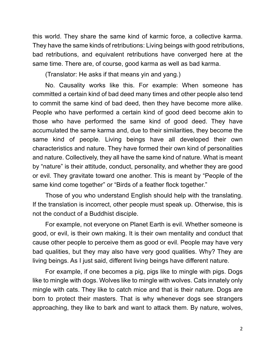this world. They share the same kind of karmic force, a collective karma. They have the same kinds of retributions: Living beings with good retributions, bad retributions, and equivalent retributions have converged here at the same time. There are, of course, good karma as well as bad karma.

(Translator: He asks if that means yin and yang.)

No. Causality works like this. For example: When someone has committed a certain kind of bad deed many times and other people also tend to commit the same kind of bad deed, then they have become more alike. People who have performed a certain kind of good deed become akin to those who have performed the same kind of good deed. They have accumulated the same karma and, due to their similarities, they become the same kind of people. Living beings have all developed their own characteristics and nature. They have formed their own kind of personalities and nature. Collectively, they all have the same kind of nature. What is meant by "nature" is their attitude, conduct, personality, and whether they are good or evil. They gravitate toward one another. This is meant by "People of the same kind come together" or "Birds of a feather flock together."

Those of you who understand English should help with the translating. If the translation is incorrect, other people must speak up. Otherwise, this is not the conduct of a Buddhist disciple.

For example, not everyone on Planet Earth is evil. Whether someone is good, or evil, is their own making. It is their own mentality and conduct that cause other people to perceive them as good or evil. People may have very bad qualities, but they may also have very good qualities. Why? They are living beings. As I just said, different living beings have different nature.

For example, if one becomes a pig, pigs like to mingle with pigs. Dogs like to mingle with dogs. Wolves like to mingle with wolves. Cats innately only mingle with cats. They like to catch mice and that is their nature. Dogs are born to protect their masters. That is why whenever dogs see strangers approaching, they like to bark and want to attack them. By nature, wolves,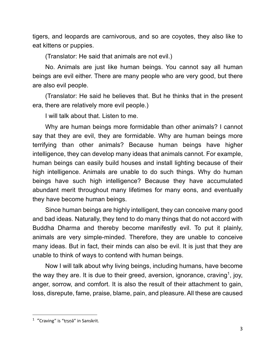tigers, and leopards are carnivorous, and so are coyotes, they also like to eat kittens or puppies.

(Translator: He said that animals are not evil.)

No. Animals are just like human beings. You cannot say all human beings are evil either. There are many people who are very good, but there are also evil people.

(Translator: He said he believes that. But he thinks that in the present era, there are relatively more evil people.)

I will talk about that. Listen to me.

Why are human beings more formidable than other animals? I cannot say that they are evil, they are formidable. Why are human beings more terrifying than other animals? Because human beings have higher intelligence, they can develop many ideas that animals cannot. For example, human beings can easily build houses and install lighting because of their high intelligence. Animals are unable to do such things. Why do human beings have such high intelligence? Because they have accumulated abundant merit throughout many lifetimes for many eons, and eventually they have become human beings.

Since human beings are highly intelligent, they can conceive many good and bad ideas. Naturally, they tend to do many things that do not accord with Buddha Dharma and thereby become manifestly evil. To put it plainly, animals are very simple-minded. Therefore, they are unable to conceive many ideas. But in fact, their minds can also be evil. It is just that they are unable to think of ways to contend with human beings.

Now I will talk about why living beings, including humans, have become the way they are. It is due to their greed, aversion, ignorance, craving<sup>1</sup>, joy, anger, sorrow, and comfort. It is also the result of their attachment to gain, loss, disrepute, fame, praise, blame, pain, and pleasure. All these are caused

<sup>&</sup>lt;sup>1</sup> "Craving" is "trṣṇā" in Sanskrit.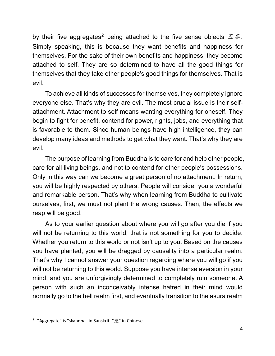by their five aggregates<sup>2</sup> being attached to the five sense objects  $\overline{A}$  . Simply speaking, this is because they want benefits and happiness for themselves. For the sake of their own benefits and happiness, they become attached to self. They are so determined to have all the good things for themselves that they take other people's good things for themselves. That is evil.

To achieve all kinds of successes for themselves, they completely ignore everyone else. That's why they are evil. The most crucial issue is their selfattachment. Attachment to self means wanting everything for oneself. They begin to fight for benefit, contend for power, rights, jobs, and everything that is favorable to them. Since human beings have high intelligence, they can develop many ideas and methods to get what they want. That's why they are evil.

The purpose of learning from Buddha is to care for and help other people, care for all living beings, and not to contend for other people's possessions. Only in this way can we become a great person of no attachment. In return, you will be highly respected by others. People will consider you a wonderful and remarkable person. That's why when learning from Buddha to cultivate ourselves, first, we must not plant the wrong causes. Then, the effects we reap will be good.

As to your earlier question about where you will go after you die if you will not be returning to this world, that is not something for you to decide. Whether you return to this world or not isn't up to you. Based on the causes you have planted, you will be dragged by causality into a particular realm. That's why I cannot answer your question regarding where you will go if you will not be returning to this world. Suppose you have intense aversion in your mind, and you are unforgivingly determined to completely ruin someone. A person with such an inconceivably intense hatred in their mind would normally go to the hell realm first, and eventually transition to the asura realm

 $2$  "Aggregate" is "skandha" in Sanskrit, "<br>
om Thinese.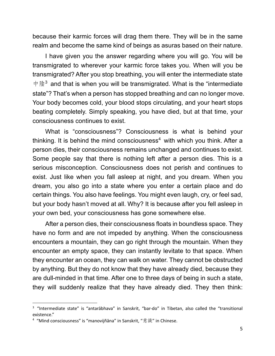because their karmic forces will drag them there. They will be in the same realm and become the same kind of beings as asuras based on their nature.

I have given you the answer regarding where you will go. You will be transmigrated to wherever your karmic force takes you. When will you be transmigrated? After you stop breathing, you will enter the intermediate state 中陰<sup>3</sup> and that is when you will be transmigrated. What is the "intermediate" state"? That's when a person has stopped breathing and can no longer move. Your body becomes cold, your blood stops circulating, and your heart stops beating completely. Simply speaking, you have died, but at that time, your consciousness continues to exist.

What is "consciousness"? Consciousness is what is behind your thinking. It is behind the mind consciousness<sup>4</sup> with which you think. After a person dies, their consciousness remains unchanged and continues to exist. Some people say that there is nothing left after a person dies. This is a serious misconception. Consciousness does not perish and continues to exist. Just like when you fall asleep at night, and you dream. When you dream, you also go into a state where you enter a certain place and do certain things. You also have feelings. You might even laugh, cry, or feel sad, but your body hasn't moved at all. Why? It is because after you fell asleep in your own bed, your consciousness has gone somewhere else.

After a person dies, their consciousness floats in boundless space. They have no form and are not impeded by anything. When the consciousness encounters a mountain, they can go right through the mountain. When they encounter an empty space, they can instantly levitate to that space. When they encounter an ocean, they can walk on water. They cannot be obstructed by anything. But they do not know that they have already died, because they are dull-minded in that time. After one to three days of being in such a state, they will suddenly realize that they have already died. They then think:

<sup>&</sup>lt;sup>3</sup> "Intermediate state" is "antarābhava" in Sanskrit, "bar-do" in Tibetan, also called the "transitional existence."

<sup>&</sup>lt;sup>4</sup> "Mind consciousness" is "manovijñāna" in Sanskrit, "意識" in Chinese.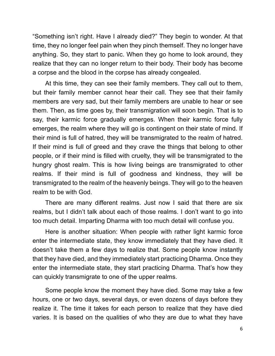"Something isn't right. Have I already died?" They begin to wonder. At that time, they no longer feel pain when they pinch themself. They no longer have anything. So, they start to panic. When they go home to look around, they realize that they can no longer return to their body. Their body has become a corpse and the blood in the corpse has already congealed.

At this time, they can see their family members. They call out to them, but their family member cannot hear their call. They see that their family members are very sad, but their family members are unable to hear or see them. Then, as time goes by, their transmigration will soon begin. That is to say, their karmic force gradually emerges. When their karmic force fully emerges, the realm where they will go is contingent on their state of mind. If their mind is full of hatred, they will be transmigrated to the realm of hatred. If their mind is full of greed and they crave the things that belong to other people, or if their mind is filled with cruelty, they will be transmigrated to the hungry ghost realm. This is how living beings are transmigrated to other realms. If their mind is full of goodness and kindness, they will be transmigrated to the realm of the heavenly beings. They will go to the heaven realm to be with God.

There are many different realms. Just now I said that there are six realms, but I didn't talk about each of those realms. I don't want to go into too much detail. Imparting Dharma with too much detail will confuse you.

Here is another situation: When people with rather light karmic force enter the intermediate state, they know immediately that they have died. It doesn't take them a few days to realize that. Some people know instantly that they have died, and they immediately start practicing Dharma. Once they enter the intermediate state, they start practicing Dharma. That's how they can quickly transmigrate to one of the upper realms.

Some people know the moment they have died. Some may take a few hours, one or two days, several days, or even dozens of days before they realize it. The time it takes for each person to realize that they have died varies. It is based on the qualities of who they are due to what they have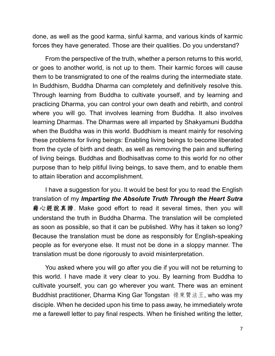done, as well as the good karma, sinful karma, and various kinds of karmic forces they have generated. Those are their qualities. Do you understand?

From the perspective of the truth, whether a person returns to this world, or goes to another world, is not up to them. Their karmic forces will cause them to be transmigrated to one of the realms during the intermediate state. In Buddhism, Buddha Dharma can completely and definitively resolve this. Through learning from Buddha to cultivate yourself, and by learning and practicing Dharma, you can control your own death and rebirth, and control where you will go. That involves learning from Buddha. It also involves learning Dharmas. The Dharmas were all imparted by Shakyamuni Buddha when the Buddha was in this world. Buddhism is meant mainly for resolving these problems for living beings: Enabling living beings to become liberated from the cycle of birth and death, as well as removing the pain and suffering of living beings. Buddhas and Bodhisattvas come to this world for no other purpose than to help pitiful living beings, to save them, and to enable them to attain liberation and accomplishment.

I have a suggestion for you. It would be best for you to read the English translation of my *Imparting the Absolute Truth Through the Heart Sutra*  $# \triangle \mathscr{H}$ 說真諦. Make good effort to read it several times, then you will understand the truth in Buddha Dharma. The translation will be completed as soon as possible, so that it can be published. Why has it taken so long? Because the translation must be done as responsibly for English-speaking people as for everyone else. It must not be done in a sloppy manner. The translation must be done rigorously to avoid misinterpretation.

You asked where you will go after you die if you will not be returning to this world. I have made it very clear to you. By learning from Buddha to cultivate yourself, you can go wherever you want. There was an eminent Buddhist practitioner, Dharma King Gar Tongstan 祿東贊法王, who was my disciple. When he decided upon his time to pass away, he immediately wrote me a farewell letter to pay final respects. When he finished writing the letter,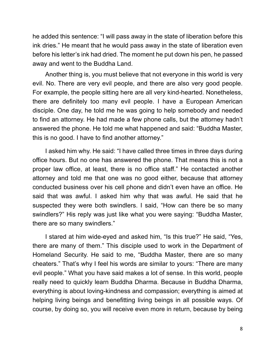he added this sentence: "I will pass away in the state of liberation before this ink dries." He meant that he would pass away in the state of liberation even before his letter's ink had dried. The moment he put down his pen, he passed away and went to the Buddha Land.

Another thing is, you must believe that not everyone in this world is very evil. No. There are very evil people, and there are also very good people. For example, the people sitting here are all very kind-hearted. Nonetheless, there are definitely too many evil people. I have a European American disciple. One day, he told me he was going to help somebody and needed to find an attorney. He had made a few phone calls, but the attorney hadn't answered the phone. He told me what happened and said: "Buddha Master, this is no good. I have to find another attorney."

I asked him why. He said: "I have called three times in three days during office hours. But no one has answered the phone. That means this is not a proper law office, at least, there is no office staff." He contacted another attorney and told me that one was no good either, because that attorney conducted business over his cell phone and didn't even have an office. He said that was awful. I asked him why that was awful. He said that he suspected they were both swindlers. I said, "How can there be so many swindlers?" His reply was just like what you were saying: "Buddha Master, there are so many swindlers."

I stared at him wide-eyed and asked him, "Is this true?" He said, "Yes, there are many of them." This disciple used to work in the Department of Homeland Security. He said to me, "Buddha Master, there are so many cheaters." That's why I feel his words are similar to yours: "There are many evil people." What you have said makes a lot of sense. In this world, people really need to quickly learn Buddha Dharma. Because in Buddha Dharma, everything is about loving-kindness and compassion; everything is aimed at helping living beings and benefitting living beings in all possible ways. Of course, by doing so, you will receive even more in return, because by being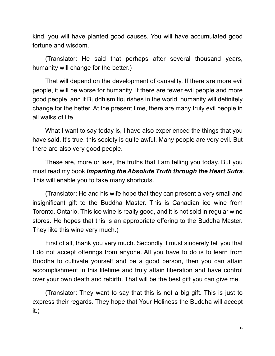kind, you will have planted good causes. You will have accumulated good fortune and wisdom.

(Translator: He said that perhaps after several thousand years, humanity will change for the better.)

That will depend on the development of causality. If there are more evil people, it will be worse for humanity. If there are fewer evil people and more good people, and if Buddhism flourishes in the world, humanity will definitely change for the better. At the present time, there are many truly evil people in all walks of life.

What I want to say today is, I have also experienced the things that you have said. It's true, this society is quite awful. Many people are very evil. But there are also very good people.

These are, more or less, the truths that I am telling you today. But you must read my book *Imparting the Absolute Truth through the Heart Sutra*. This will enable you to take many shortcuts.

(Translator: He and his wife hope that they can present a very small and insignificant gift to the Buddha Master. This is Canadian ice wine from Toronto, Ontario. This ice wine is really good, and it is not sold in regular wine stores. He hopes that this is an appropriate offering to the Buddha Master. They like this wine very much.)

First of all, thank you very much. Secondly, I must sincerely tell you that I do not accept offerings from anyone. All you have to do is to learn from Buddha to cultivate yourself and be a good person, then you can attain accomplishment in this lifetime and truly attain liberation and have control over your own death and rebirth. That will be the best gift you can give me.

(Translator: They want to say that this is not a big gift. This is just to express their regards. They hope that Your Holiness the Buddha will accept it.)